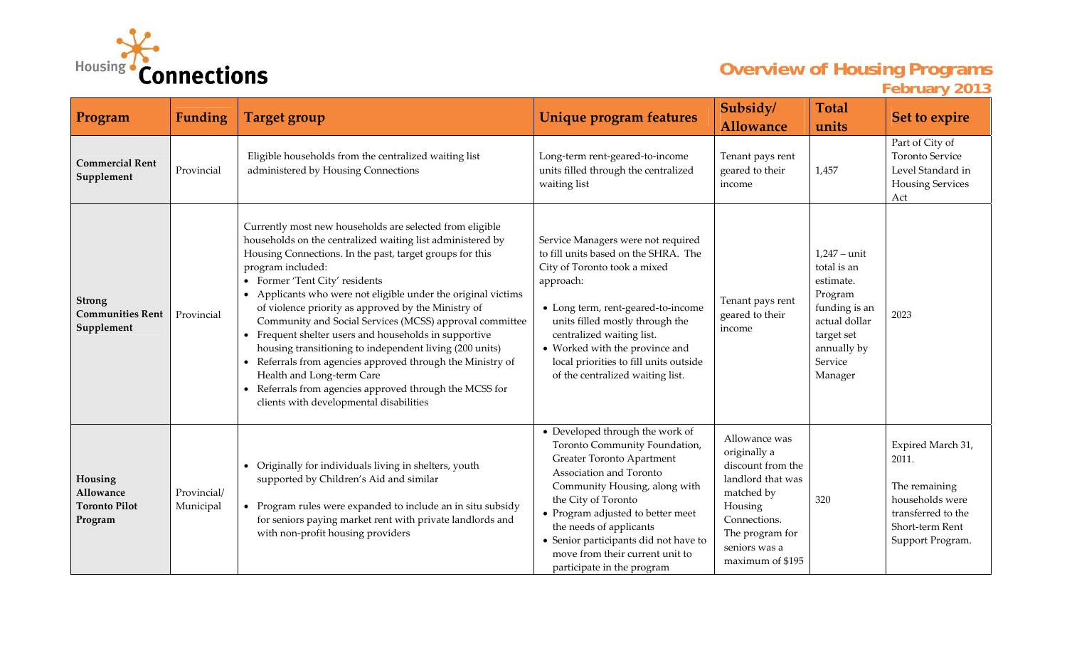

## **Overview of Housing Programs February 2013**

| Program                                                 | <b>Funding</b>           | <b>Target group</b>                                                                                                                                                                                                                                                                                                                                                                                                                                                                                                                                                                                                                                                                                                                       | Unique program features                                                                                                                                                                                                                                                                                                                                    | Subsidy/<br><b>Allowance</b>                                                                                                                                             | <b>Total</b><br>units                                                                                                                             | Set to expire                                                                                                               |
|---------------------------------------------------------|--------------------------|-------------------------------------------------------------------------------------------------------------------------------------------------------------------------------------------------------------------------------------------------------------------------------------------------------------------------------------------------------------------------------------------------------------------------------------------------------------------------------------------------------------------------------------------------------------------------------------------------------------------------------------------------------------------------------------------------------------------------------------------|------------------------------------------------------------------------------------------------------------------------------------------------------------------------------------------------------------------------------------------------------------------------------------------------------------------------------------------------------------|--------------------------------------------------------------------------------------------------------------------------------------------------------------------------|---------------------------------------------------------------------------------------------------------------------------------------------------|-----------------------------------------------------------------------------------------------------------------------------|
| <b>Commercial Rent</b><br>Supplement                    | Provincial               | Eligible households from the centralized waiting list<br>administered by Housing Connections                                                                                                                                                                                                                                                                                                                                                                                                                                                                                                                                                                                                                                              | Long-term rent-geared-to-income<br>units filled through the centralized<br>waiting list                                                                                                                                                                                                                                                                    | Tenant pays rent<br>geared to their<br>income                                                                                                                            | 1,457                                                                                                                                             | Part of City of<br><b>Toronto Service</b><br>Level Standard in<br><b>Housing Services</b><br>Act                            |
| <b>Strong</b><br><b>Communities Rent</b><br>Supplement  | Provincial               | Currently most new households are selected from eligible<br>households on the centralized waiting list administered by<br>Housing Connections. In the past, target groups for this<br>program included:<br>Former 'Tent City' residents<br>Applicants who were not eligible under the original victims<br>of violence priority as approved by the Ministry of<br>Community and Social Services (MCSS) approval committee<br>• Frequent shelter users and households in supportive<br>housing transitioning to independent living (200 units)<br>Referrals from agencies approved through the Ministry of<br>Health and Long-term Care<br>Referrals from agencies approved through the MCSS for<br>clients with developmental disabilities | Service Managers were not required<br>to fill units based on the SHRA. The<br>City of Toronto took a mixed<br>approach:<br>• Long term, rent-geared-to-income<br>units filled mostly through the<br>centralized waiting list.<br>• Worked with the province and<br>local priorities to fill units outside<br>of the centralized waiting list.              | Tenant pays rent<br>geared to their<br>income                                                                                                                            | $1,247 - \text{unit}$<br>total is an<br>estimate.<br>Program<br>funding is an<br>actual dollar<br>target set<br>annually by<br>Service<br>Manager | 2023                                                                                                                        |
| Housing<br>Allowance<br><b>Toronto Pilot</b><br>Program | Provincial/<br>Municipal | Originally for individuals living in shelters, youth<br>$\bullet$<br>supported by Children's Aid and similar<br>• Program rules were expanded to include an in situ subsidy<br>for seniors paying market rent with private landlords and<br>with non-profit housing providers                                                                                                                                                                                                                                                                                                                                                                                                                                                             | • Developed through the work of<br>Toronto Community Foundation,<br>Greater Toronto Apartment<br>Association and Toronto<br>Community Housing, along with<br>the City of Toronto<br>• Program adjusted to better meet<br>the needs of applicants<br>• Senior participants did not have to<br>move from their current unit to<br>participate in the program | Allowance was<br>originally a<br>discount from the<br>landlord that was<br>matched by<br>Housing<br>Connections.<br>The program for<br>seniors was a<br>maximum of \$195 | 320                                                                                                                                               | Expired March 31,<br>2011.<br>The remaining<br>households were<br>transferred to the<br>Short-term Rent<br>Support Program. |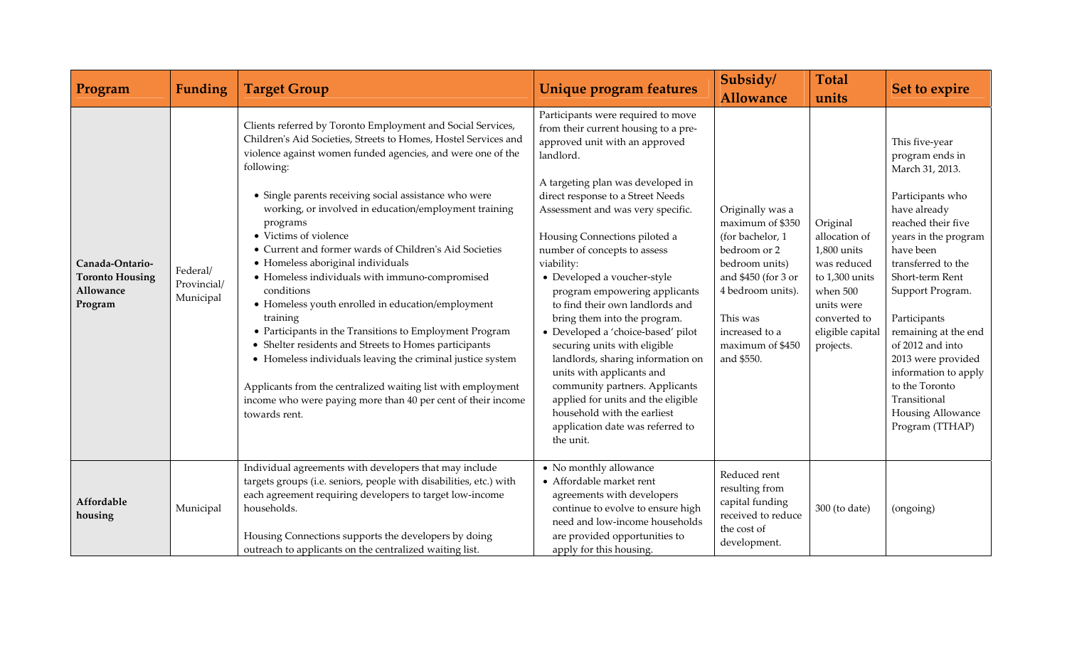| Program                                                                  | <b>Funding</b>                       | <b>Target Group</b>                                                                                                                                                                                                                                                                                                                                                                                                                                                                                                                                                                                                                                                                                                                                                                                                                                                                                                                   | Unique program features                                                                                                                                                                                                                                                                                                                                                                                                                                                                                                                                                                                                                                                                                                                                    | Subsidy/<br><b>Allowance</b>                                                                                                                                                                           | <b>Total</b><br>units                                                                                                                                | Set to expire                                                                                                                                                                                                                                                                                                                                                                                        |
|--------------------------------------------------------------------------|--------------------------------------|---------------------------------------------------------------------------------------------------------------------------------------------------------------------------------------------------------------------------------------------------------------------------------------------------------------------------------------------------------------------------------------------------------------------------------------------------------------------------------------------------------------------------------------------------------------------------------------------------------------------------------------------------------------------------------------------------------------------------------------------------------------------------------------------------------------------------------------------------------------------------------------------------------------------------------------|------------------------------------------------------------------------------------------------------------------------------------------------------------------------------------------------------------------------------------------------------------------------------------------------------------------------------------------------------------------------------------------------------------------------------------------------------------------------------------------------------------------------------------------------------------------------------------------------------------------------------------------------------------------------------------------------------------------------------------------------------------|--------------------------------------------------------------------------------------------------------------------------------------------------------------------------------------------------------|------------------------------------------------------------------------------------------------------------------------------------------------------|------------------------------------------------------------------------------------------------------------------------------------------------------------------------------------------------------------------------------------------------------------------------------------------------------------------------------------------------------------------------------------------------------|
| Canada-Ontario-<br><b>Toronto Housing</b><br><b>Allowance</b><br>Program | Federal/<br>Provincial/<br>Municipal | Clients referred by Toronto Employment and Social Services,<br>Children's Aid Societies, Streets to Homes, Hostel Services and<br>violence against women funded agencies, and were one of the<br>following:<br>• Single parents receiving social assistance who were<br>working, or involved in education/employment training<br>programs<br>• Victims of violence<br>• Current and former wards of Children's Aid Societies<br>· Homeless aboriginal individuals<br>• Homeless individuals with immuno-compromised<br>conditions<br>• Homeless youth enrolled in education/employment<br>training<br>• Participants in the Transitions to Employment Program<br>• Shelter residents and Streets to Homes participants<br>• Homeless individuals leaving the criminal justice system<br>Applicants from the centralized waiting list with employment<br>income who were paying more than 40 per cent of their income<br>towards rent. | Participants were required to move<br>from their current housing to a pre-<br>approved unit with an approved<br>landlord.<br>A targeting plan was developed in<br>direct response to a Street Needs<br>Assessment and was very specific.<br>Housing Connections piloted a<br>number of concepts to assess<br>viability:<br>• Developed a voucher-style<br>program empowering applicants<br>to find their own landlords and<br>bring them into the program.<br>• Developed a 'choice-based' pilot<br>securing units with eligible<br>landlords, sharing information on<br>units with applicants and<br>community partners. Applicants<br>applied for units and the eligible<br>household with the earliest<br>application date was referred to<br>the unit. | Originally was a<br>maximum of \$350<br>(for bachelor, 1<br>bedroom or 2<br>bedroom units)<br>and \$450 (for 3 or<br>4 bedroom units).<br>This was<br>increased to a<br>maximum of \$450<br>and \$550. | Original<br>allocation of<br>1,800 units<br>was reduced<br>to 1,300 units<br>when 500<br>units were<br>converted to<br>eligible capital<br>projects. | This five-year<br>program ends in<br>March 31, 2013.<br>Participants who<br>have already<br>reached their five<br>years in the program<br>have been<br>transferred to the<br>Short-term Rent<br>Support Program.<br>Participants<br>remaining at the end<br>of 2012 and into<br>2013 were provided<br>information to apply<br>to the Toronto<br>Transitional<br>Housing Allowance<br>Program (TTHAP) |
| Affordable<br>housing                                                    | Municipal                            | Individual agreements with developers that may include<br>targets groups (i.e. seniors, people with disabilities, etc.) with<br>each agreement requiring developers to target low-income<br>households.<br>Housing Connections supports the developers by doing<br>outreach to applicants on the centralized waiting list.                                                                                                                                                                                                                                                                                                                                                                                                                                                                                                                                                                                                            | • No monthly allowance<br>• Affordable market rent<br>agreements with developers<br>continue to evolve to ensure high<br>need and low-income households<br>are provided opportunities to<br>apply for this housing.                                                                                                                                                                                                                                                                                                                                                                                                                                                                                                                                        | Reduced rent<br>resulting from<br>capital funding<br>received to reduce<br>the cost of<br>development.                                                                                                 | 300 (to date)                                                                                                                                        | (ongoing)                                                                                                                                                                                                                                                                                                                                                                                            |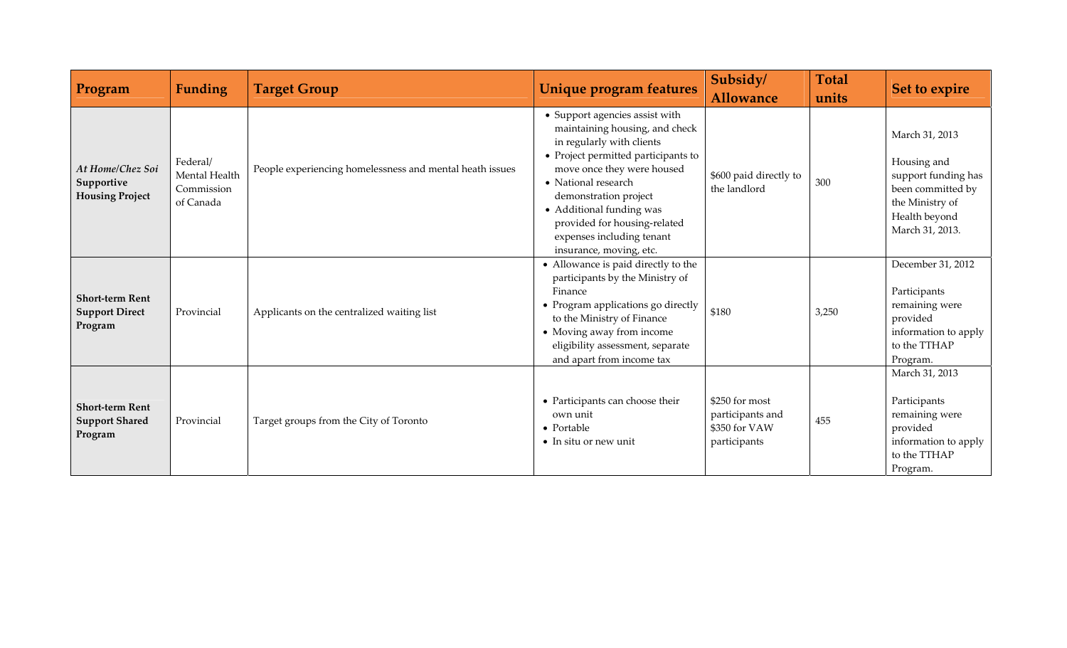| Program                                                    | <b>Funding</b>                                       | <b>Target Group</b>                                      | Unique program features                                                                                                                                                                                                                                                                                                                | Subsidy/<br><b>Allowance</b>                                        | <b>Total</b><br>units | Set to expire                                                                                                                    |
|------------------------------------------------------------|------------------------------------------------------|----------------------------------------------------------|----------------------------------------------------------------------------------------------------------------------------------------------------------------------------------------------------------------------------------------------------------------------------------------------------------------------------------------|---------------------------------------------------------------------|-----------------------|----------------------------------------------------------------------------------------------------------------------------------|
| At Home/Chez Soi<br>Supportive<br><b>Housing Project</b>   | Federal/<br>Mental Health<br>Commission<br>of Canada | People experiencing homelessness and mental heath issues | • Support agencies assist with<br>maintaining housing, and check<br>in regularly with clients<br>• Project permitted participants to<br>move once they were housed<br>• National research<br>demonstration project<br>• Additional funding was<br>provided for housing-related<br>expenses including tenant<br>insurance, moving, etc. | \$600 paid directly to<br>the landlord                              | 300                   | March 31, 2013<br>Housing and<br>support funding has<br>been committed by<br>the Ministry of<br>Health beyond<br>March 31, 2013. |
| <b>Short-term Rent</b><br><b>Support Direct</b><br>Program | Provincial                                           | Applicants on the centralized waiting list               | • Allowance is paid directly to the<br>participants by the Ministry of<br>Finance<br>• Program applications go directly<br>to the Ministry of Finance<br>• Moving away from income<br>eligibility assessment, separate<br>and apart from income tax                                                                                    | \$180                                                               | 3,250                 | December 31, 2012<br>Participants<br>remaining were<br>provided<br>information to apply<br>to the TTHAP<br>Program.              |
| <b>Short-term Rent</b><br><b>Support Shared</b><br>Program | Provincial                                           | Target groups from the City of Toronto                   | • Participants can choose their<br>own unit<br>$\bullet$ Portable<br>$\bullet$ In situ or new unit                                                                                                                                                                                                                                     | \$250 for most<br>participants and<br>\$350 for VAW<br>participants | 455                   | March 31, 2013<br>Participants<br>remaining were<br>provided<br>information to apply<br>to the TTHAP<br>Program.                 |